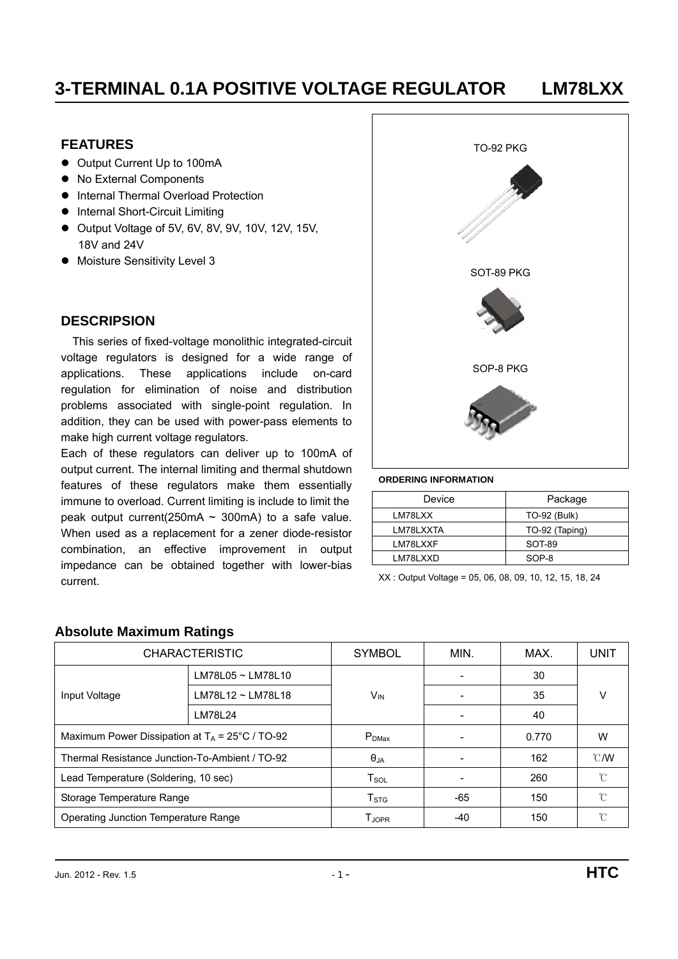#### **FEATURES**

- Output Current Up to 100mA
- No External Components
- $\bullet$  Internal Thermal Overload Protection
- $\bullet$  Internal Short-Circuit Limiting
- $\bullet$  Output Voltage of 5V, 6V, 8V, 9V, 10V, 12V, 15V, 18V and 24V
- Moisture Sensitivity Level 3

#### **DESCRIPSION**

This series of fixed-voltage monolithic integrated-circuit voltage regulators is designed for a wide range of applications. These applications include on-card regulation for elimination of noise and distribution problems associated with single-point regulation. In addition, they can be used with power-pass elements to make high current voltage regulators.

Each of these regulators can deliver up to 100mA of output current. The internal limiting and thermal shutdown features of these regulators make them essentially immune to overload. Current limiting is include to limit the peak output current(250mA  $\sim$  300mA) to a safe value. When used as a replacement for a zener diode-resistor combination, an effective improvement in output impedance can be obtained together with lower-bias current. XX : Output Voltage = 05, 06, 08, 09, 10, 12, 15, 18, 24



#### **ORDERING INFORMATION**

| Device    | Package             |
|-----------|---------------------|
| LM78LXX   | <b>TO-92 (Bulk)</b> |
| LM78LXXTA | TO-92 (Taping)      |
| LM78LXXF  | SOT-89              |
| LM78LXXD  | SOP-8               |

| <b>CHARACTERISTIC</b>                          |                                                   | <b>SYMBOL</b>         | MIN.  | MAX.  | <b>UNIT</b>               |
|------------------------------------------------|---------------------------------------------------|-----------------------|-------|-------|---------------------------|
|                                                | LM78L05 ~ LM78L10                                 |                       |       | 30    |                           |
| Input Voltage                                  | LM78L12 ~ LM78L18                                 | <b>V<sub>IN</sub></b> |       | 35    | V                         |
|                                                | LM78L24                                           |                       |       | 40    |                           |
|                                                | Maximum Power Dissipation at $T_A$ = 25°C / TO-92 |                       |       | 0.770 | W                         |
| Thermal Resistance Junction-To-Ambient / TO-92 |                                                   | $\theta_{JA}$         |       | 162   | $\mathcal{C}/\mathcal{W}$ |
| Lead Temperature (Soldering, 10 sec)           |                                                   | $T_{SOL}$             |       | 260   | °C                        |
| Storage Temperature Range                      |                                                   | T <sub>STG</sub>      | $-65$ | 150   | °C                        |
| Operating Junction Temperature Range           |                                                   | T <sub>JOPR</sub>     | -40   | 150   | °C                        |

#### **Absolute Maximum Ratings**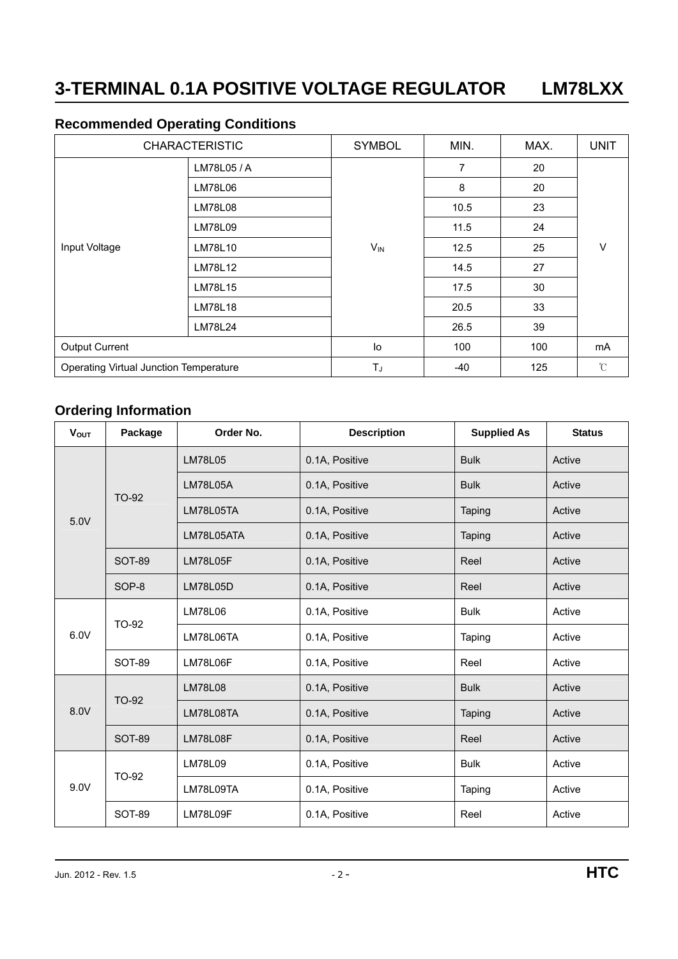### **Recommended Operating Conditions**

|                                        | <b>CHARACTERISTIC</b> | <b>SYMBOL</b>         | MIN. | MAX. | <b>UNIT</b>   |
|----------------------------------------|-----------------------|-----------------------|------|------|---------------|
|                                        | LM78L05 / A           |                       | 7    | 20   |               |
|                                        | LM78L06               |                       | 8    | 20   | v             |
|                                        | <b>LM78L08</b>        |                       | 10.5 | 23   |               |
|                                        | LM78L09               |                       | 11.5 | 24   |               |
| Input Voltage                          | LM78L10               | <b>V<sub>IN</sub></b> | 12.5 | 25   |               |
|                                        | LM78L12               |                       | 14.5 | 27   |               |
|                                        | LM78L15               |                       | 17.5 | 30   |               |
|                                        | <b>LM78L18</b>        |                       | 20.5 | 33   |               |
|                                        | LM78L24               |                       | 26.5 | 39   |               |
| <b>Output Current</b>                  |                       | lo                    | 100  | 100  | mA            |
| Operating Virtual Junction Temperature |                       | TJ                    | -40  | 125  | $\mathcal{C}$ |

### **Ordering Information**

| <b>VOUT</b> | Package       | Order No.       | <b>Description</b> | <b>Supplied As</b> | <b>Status</b> |
|-------------|---------------|-----------------|--------------------|--------------------|---------------|
|             |               | <b>LM78L05</b>  | 0.1A, Positive     | <b>Bulk</b>        | Active        |
|             | TO-92         | <b>LM78L05A</b> | 0.1A, Positive     | <b>Bulk</b>        | Active        |
| 5.0V        |               | LM78L05TA       | 0.1A, Positive     | Taping             | Active        |
|             |               | LM78L05ATA      | 0.1A, Positive     | Taping             | Active        |
|             | <b>SOT-89</b> | <b>LM78L05F</b> | 0.1A, Positive     | Reel               | Active        |
|             | SOP-8         | LM78L05D        | 0.1A, Positive     | Reel               | Active        |
|             | TO-92         | LM78L06         | 0.1A, Positive     | <b>Bulk</b>        | Active        |
| 6.0V        |               | LM78L06TA       | 0.1A, Positive     | Taping             | Active        |
|             | SOT-89        | LM78L06F        | 0.1A, Positive     | Reel               | Active        |
|             | TO-92         | <b>LM78L08</b>  | 0.1A, Positive     | <b>Bulk</b>        | Active        |
| 8.0V        |               | LM78L08TA       | 0.1A, Positive     | Taping             | Active        |
|             | <b>SOT-89</b> | LM78L08F        | 0.1A, Positive     | Reel               | Active        |
|             | TO-92         | LM78L09         | 0.1A, Positive     | <b>Bulk</b>        | Active        |
| 9.0V        |               | LM78L09TA       | 0.1A, Positive     | Taping             | Active        |
|             | <b>SOT-89</b> | LM78L09F        | 0.1A, Positive     | Reel               | Active        |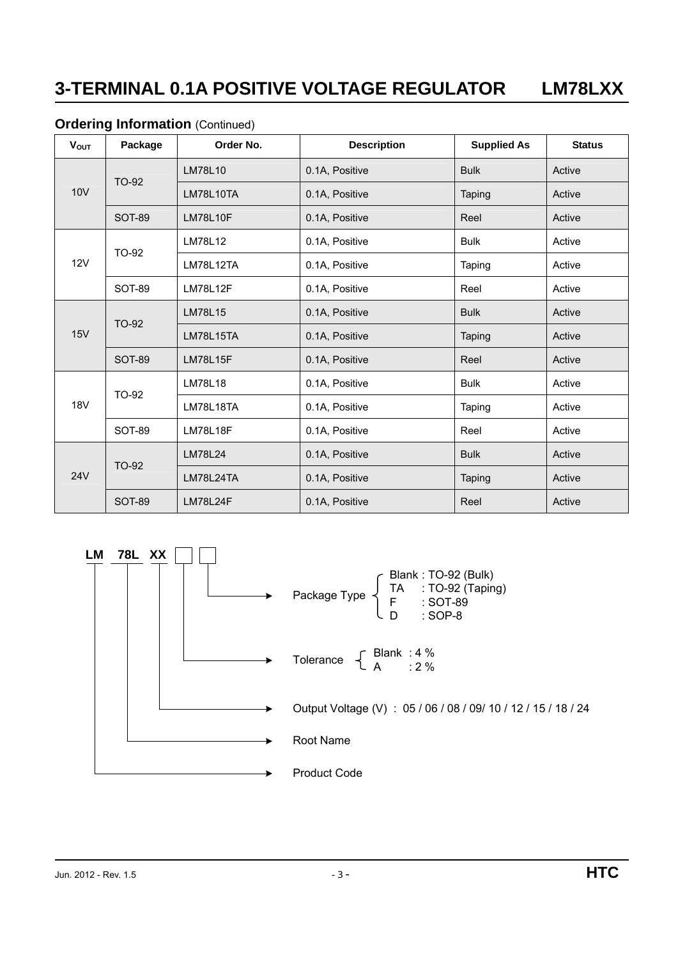#### **Ordering Information (Continued)**

| <b>V</b> out | Package       | Order No.       | <b>Description</b> | <b>Supplied As</b> | <b>Status</b> |
|--------------|---------------|-----------------|--------------------|--------------------|---------------|
|              |               | <b>LM78L10</b>  | 0.1A, Positive     | <b>Bulk</b>        | Active        |
| <b>10V</b>   | TO-92         | LM78L10TA       | 0.1A, Positive     | Taping             | Active        |
|              | <b>SOT-89</b> | <b>LM78L10F</b> | 0.1A, Positive     | Reel               | Active        |
|              |               | LM78L12         | 0.1A, Positive     | <b>Bulk</b>        | Active        |
| 12V          | TO-92         | LM78L12TA       | 0.1A, Positive     | Taping             | Active        |
|              | <b>SOT-89</b> | <b>LM78L12F</b> | 0.1A, Positive     | Reel               | Active        |
|              |               | LM78L15         | 0.1A, Positive     | <b>Bulk</b>        | Active        |
| <b>15V</b>   | TO-92         | LM78L15TA       | 0.1A, Positive     | Taping             | Active        |
|              | <b>SOT-89</b> | <b>LM78L15F</b> | 0.1A, Positive     | Reel               | Active        |
|              |               | LM78L18         | 0.1A, Positive     | <b>Bulk</b>        | Active        |
| <b>18V</b>   | TO-92         | LM78L18TA       | 0.1A, Positive     | Taping             | Active        |
|              | <b>SOT-89</b> | <b>LM78L18F</b> | 0.1A, Positive     | Reel               | Active        |
|              |               | LM78L24         | 0.1A, Positive     | <b>Bulk</b>        | Active        |
| <b>24V</b>   | TO-92         | LM78L24TA       | 0.1A, Positive     | Taping             | Active        |
|              | <b>SOT-89</b> | <b>LM78L24F</b> | 0.1A, Positive     | Reel               | Active        |

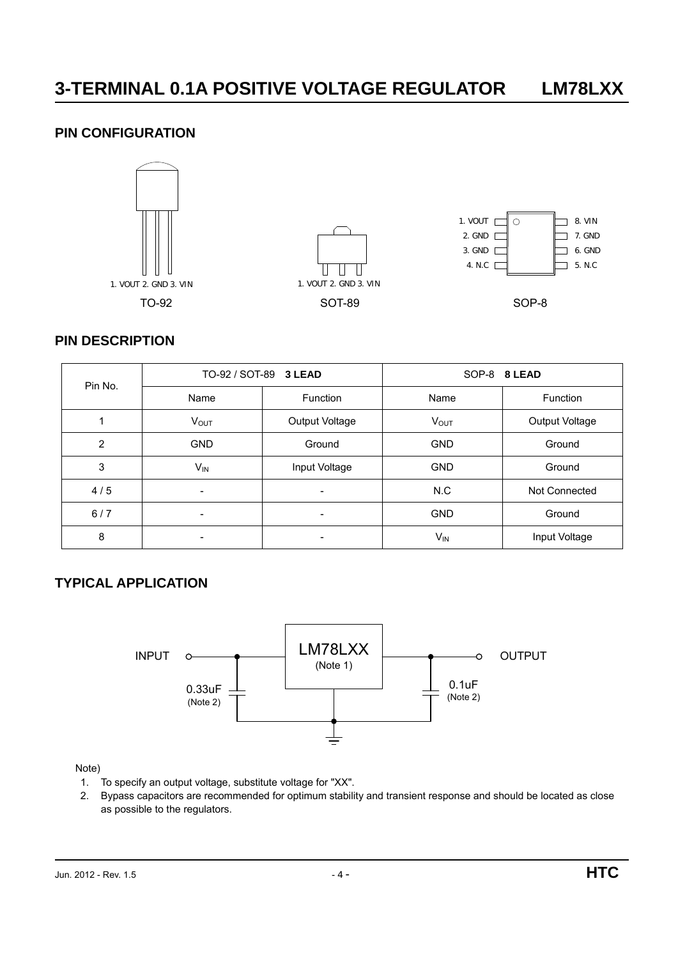#### **PIN CONFIGURATION**



#### **PIN DESCRIPTION**

| Pin No. |                          | TO-92 / SOT-89 3 LEAD | SOP-8 8 LEAD |                |  |
|---------|--------------------------|-----------------------|--------------|----------------|--|
|         | Name                     | <b>Function</b>       | Name         | Function       |  |
|         | $V_{OUT}$                | Output Voltage        | <b>VOUT</b>  | Output Voltage |  |
| 2       | <b>GND</b>               | Ground                | <b>GND</b>   | Ground         |  |
| 3       | $V_{IN}$                 | Input Voltage         | <b>GND</b>   | Ground         |  |
| 4/5     | $\overline{\phantom{a}}$ | Ξ.                    | N.C          | Not Connected  |  |
| 6/7     |                          |                       | <b>GND</b>   | Ground         |  |
| 8       | -                        |                       | $V_{IN}$     | Input Voltage  |  |

### **TYPICAL APPLICATION**



Note)

- 1. To specify an output voltage, substitute voltage for "XX".
- 2. Bypass capacitors are recommended for optimum stability and transient response and should be located as close as possible to the regulators.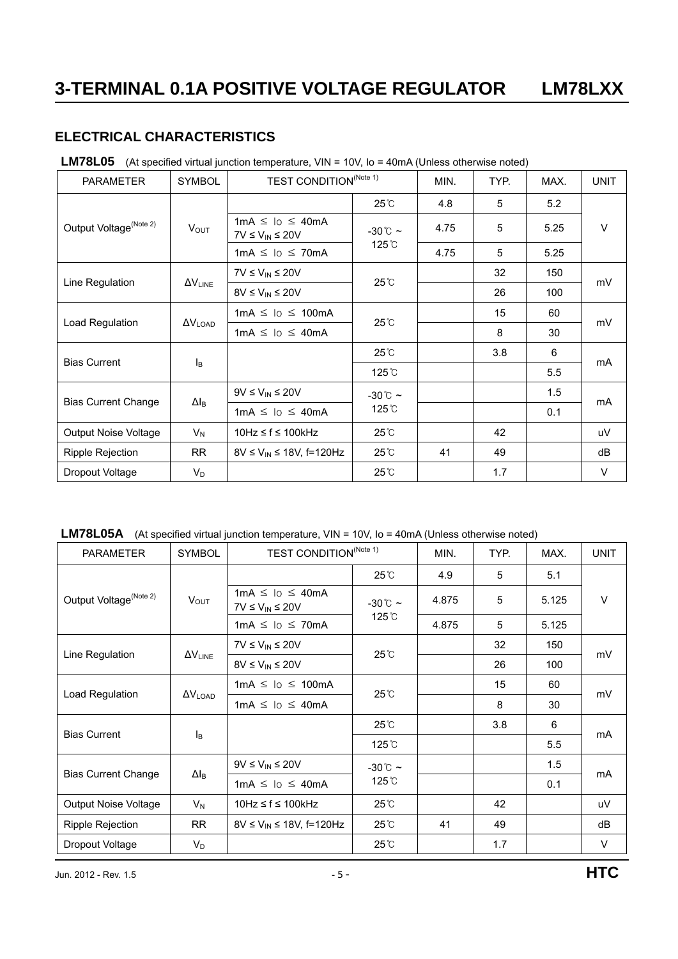### **ELECTRICAL CHARACTERISTICS**

#### LM78L05 (At specified virtual junction temperature, VIN = 10V, Io = 40mA (Unless otherwise noted)

| <b>PARAMETER</b>                   | <b>SYMBOL</b>            | <b>TEST CONDITION</b> <sup>(Note 1)</sup>          |                    | MIN. | TYP. | MAX. | <b>UNIT</b> |
|------------------------------------|--------------------------|----------------------------------------------------|--------------------|------|------|------|-------------|
|                                    |                          |                                                    | $25^{\circ}$ C     | 4.8  | 5    | 5.2  |             |
| Output Voltage <sup>(Note 2)</sup> | <b>VOUT</b>              | $1mA \leq lo \leq 40mA$<br>$7V \le V_{IN} \le 20V$ | $-30^{\circ}$ C ~  | 4.75 | 5    | 5.25 | V           |
|                                    |                          | $1mA \leq 10 \leq 70mA$                            | 125 <sup>°</sup> C | 4.75 | 5    | 5.25 |             |
|                                    |                          | $7V \leq V_{IN} \leq 20V$                          |                    |      | 32   | 150  |             |
| Line Regulation                    | $\Delta V_{LINE}$        | $8V \leq V_{IN} \leq 20V$                          | $25^{\circ}$ C     |      | 26   | 100  | mV          |
|                                    | $\Delta V_{\text{LOAD}}$ | $1mA \leq 10 \leq 100mA$                           | 25°C               |      | 15   | 60   | mV          |
| Load Regulation                    |                          | $1mA \leq 10 \leq 40mA$                            |                    |      | 8    | 30   |             |
|                                    |                          |                                                    | $25^{\circ}$ C     |      | 3.8  | 6    |             |
| <b>Bias Current</b>                | $I_{\mathsf{B}}$         |                                                    | $125^\circ$ C      |      |      | 5.5  | mA          |
|                                    |                          | $9V \leq V_{IN} \leq 20V$                          | $-30^{\circ}$ C ~  |      |      | 1.5  |             |
| <b>Bias Current Change</b>         | $\Delta I_B$             | $1mA \leq lo \leq 40mA$                            | 125 <sup>°</sup> C |      |      | 0.1  | mA          |
| Output Noise Voltage               | $V_N$                    | 10Hz ≤ f ≤ 100kHz                                  | $25^{\circ}$ C     |      | 42   |      | uV          |
| Ripple Rejection                   | <b>RR</b>                | $8V \le V_{IN} \le 18V$ , f=120Hz                  | $25^{\circ}$ C     | 41   | 49   |      | dB          |
| Dropout Voltage                    | $V_D$                    |                                                    | $25^\circ$         |      | 1.7  |      | $\vee$      |

|  |  | LM78L05A (At specified virtual junction temperature, VIN = 10V, Io = 40mA (Unless otherwise noted) |
|--|--|----------------------------------------------------------------------------------------------------|
|--|--|----------------------------------------------------------------------------------------------------|

| <b>PARAMETER</b>                   | <b>SYMBOL</b>            | <b>TEST CONDITION</b> <sup>(Note 1)</sup>            |                   | MIN.  | TYP. | MAX.  | <b>UNIT</b> |
|------------------------------------|--------------------------|------------------------------------------------------|-------------------|-------|------|-------|-------------|
|                                    |                          |                                                      | $25^\circ$        | 4.9   | 5    | 5.1   |             |
| Output Voltage <sup>(Note 2)</sup> | <b>VOUT</b>              | $1mA \leq 10 \leq 40mA$<br>$7V \leq V_{IN} \leq 20V$ | $-30^{\circ}$ ~   | 4.875 | 5    | 5.125 | V           |
|                                    |                          | $1mA \leq lo \leq 70mA$                              | 125 °C            | 4.875 | 5    | 5.125 |             |
|                                    |                          | $7V \leq V_{IN} \leq 20V$                            |                   |       | 32   | 150   |             |
| Line Regulation                    | $\Delta V_{LINE}$        | $8V \leq V_{IN} \leq 20V$                            | $25^{\circ}$ C    |       | 26   | 100   | mV          |
|                                    | $\Delta V_{\text{LOAD}}$ | $1mA \leq 10 \leq 100mA$                             |                   |       | 15   | 60    | mV          |
| Load Regulation                    |                          | $1mA \leq 10 \leq 40mA$                              | $25^{\circ}$ C    |       | 8    | 30    |             |
|                                    |                          |                                                      | $25^{\circ}$ C    |       | 3.8  | 6     |             |
| <b>Bias Current</b>                | l <sub>B</sub>           |                                                      | 125 C             |       |      | 5.5   | mA          |
|                                    |                          | $9V \le V_{IN} \le 20V$                              | $-30^{\circ}$ C ~ |       |      | 1.5   |             |
| <b>Bias Current Change</b>         | $\Delta I_{\text{B}}$    | $1mA \leq lo \leq 40mA$                              | 125 °C            |       |      | 0.1   | mA          |
| Output Noise Voltage               | $V_N$                    | $10Hz \le f \le 100kHz$                              | 25℃               |       | 42   |       | uV          |
| <b>Ripple Rejection</b>            | <b>RR</b>                | $8V \le V_{IN} \le 18V$ , f=120Hz                    | 25℃               | 41    | 49   |       | dB          |
| Dropout Voltage                    | $V_D$                    |                                                      | 25°C              |       | 1.7  |       | $\vee$      |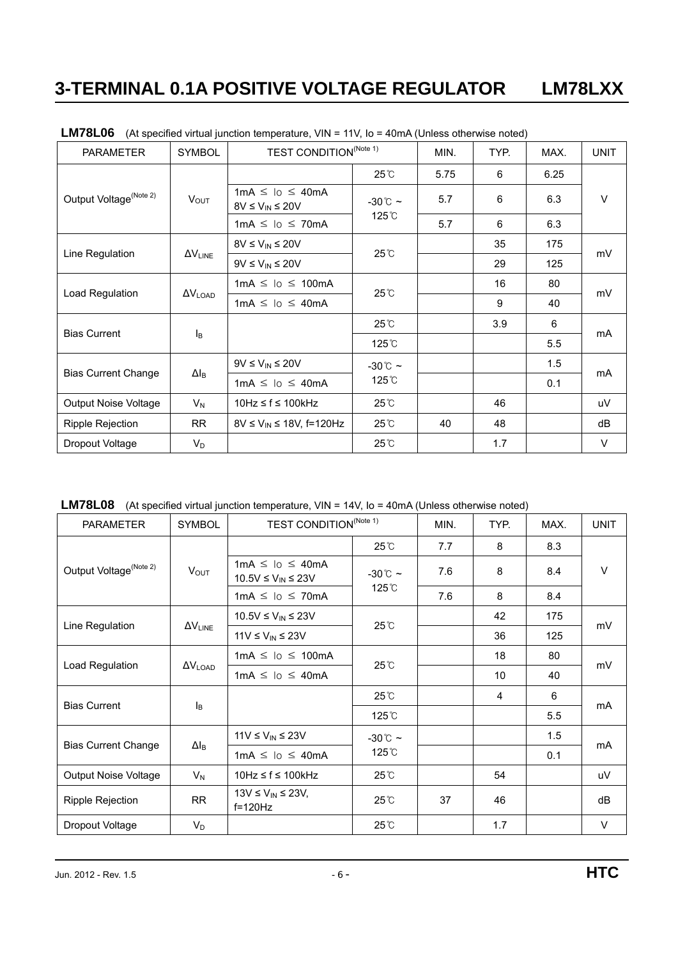| <b>PARAMETER</b>                   | <b>SYMBOL</b>            | <b>TEST CONDITION</b> <sup>(Note 1)</sup>            |                   | MIN. | TYP. | MAX. | <b>UNIT</b> |
|------------------------------------|--------------------------|------------------------------------------------------|-------------------|------|------|------|-------------|
|                                    |                          |                                                      | $25^{\circ}$ C    | 5.75 | 6    | 6.25 |             |
| Output Voltage <sup>(Note 2)</sup> | $V_{OUT}$                | $1mA \leq 10 \leq 40mA$<br>$8V \leq V_{IN} \leq 20V$ | $-30^{\circ}$ C ~ | 5.7  | 6    | 6.3  | V           |
|                                    |                          | $1mA \leq 10 \leq 70mA$                              | 125°C             | 5.7  | 6    | 6.3  |             |
|                                    |                          | $8V \le V_{IN} \le 20V$                              |                   |      | 35   | 175  |             |
| Line Regulation                    | $\Delta V_{LINE}$        | $9V \leq V_{IN} \leq 20V$                            | $25^{\circ}$ C    |      | 29   | 125  | mV          |
|                                    | $\Delta V_{\text{LOAD}}$ | $1mA \leq 10 \leq 100mA$                             | $25^{\circ}$ C    |      | 16   | 80   | mV          |
| Load Regulation                    |                          | $1mA \leq 10 \leq 40mA$                              |                   |      | 9    | 40   |             |
|                                    |                          |                                                      | 25°C              |      | 3.9  | 6    |             |
| <b>Bias Current</b>                | lв                       |                                                      | $125^\circ$ C     |      |      | 5.5  | mA          |
|                                    |                          | $9V \leq V_{IN} \leq 20V$                            | $-30^{\circ}$ C ~ |      |      | 1.5  |             |
| <b>Bias Current Change</b>         | $\Delta I_{\text{B}}$    | $1mA \leq 10 \leq 40mA$                              | $125^\circ$ C     |      |      | 0.1  | mA          |
| <b>Output Noise Voltage</b>        | $V_N$                    | $10Hz \le f \le 100kHz$                              | $25^{\circ}$ C    |      | 46   |      | uV          |
| Ripple Rejection                   | <b>RR</b>                | $8V \le V_{IN} \le 18V$ , f=120Hz                    | 25°C              | 40   | 48   |      | dB          |
| Dropout Voltage                    | $V_D$                    |                                                      | $25^{\circ}$ C    |      | 1.7  |      | V           |

LM78L06 (At specified virtual junction temperature, VIN = 11V, Io = 40mA (Unless otherwise noted)

|  |  |  |  | LM78L08 (At specified virtual junction temperature, VIN = 14V, Io = 40mA (Unless otherwise noted) |
|--|--|--|--|---------------------------------------------------------------------------------------------------|
|--|--|--|--|---------------------------------------------------------------------------------------------------|

| <b>PARAMETER</b>                   | <b>SYMBOL</b>     | <b>TEST CONDITION<sup>(Note 1)</sup></b>          |                    | MIN. | TYP. | MAX. | <b>UNIT</b> |
|------------------------------------|-------------------|---------------------------------------------------|--------------------|------|------|------|-------------|
|                                    |                   |                                                   | 25°C               | 7.7  | 8    | 8.3  |             |
| Output Voltage <sup>(Note 2)</sup> | $V_{OUT}$         | $1mA \leq lo \leq 40mA$<br>10.5V ≤ $V_{IN}$ ≤ 23V | $-30^{\circ}$ ~    | 7.6  | 8    | 8.4  | $\vee$      |
|                                    |                   | $1mA \leq lo \leq 70mA$                           | 125 <sup>°</sup> C | 7.6  | 8    | 8.4  |             |
|                                    |                   | 10.5V ≤ $V_{IN}$ ≤ 23V                            | 25°C               |      | 42   | 175  |             |
| Line Regulation                    | $\Delta V_{LINE}$ | $11V \le V_{IN} \le 23V$                          |                    |      | 36   | 125  | mV          |
|                                    | $\Delta V_{LOAD}$ | $1mA \leq lo \leq 100mA$                          | 25°C               |      | 18   | 80   | mV          |
| Load Regulation                    |                   | $1mA \leq 10 \leq 40mA$                           |                    |      | 10   | 40   |             |
|                                    |                   |                                                   | 25℃                |      | 4    | 6    |             |
| <b>Bias Current</b>                | Iв                |                                                   | 125 <sup>°</sup> C |      |      | 5.5  | mA          |
|                                    |                   | $11V \le V_{IN} \le 23V$                          | $-30^{\circ}$ C ~  |      |      | 1.5  |             |
| <b>Bias Current Change</b>         | $\Delta I_B$      | $1mA \leq lo \leq 40mA$                           | 125°C              |      |      | 0.1  | mA          |
| <b>Output Noise Voltage</b>        | $V_N$             | $10Hz \le f \le 100kHz$                           | 25°C               |      | 54   |      | uV          |
| <b>Ripple Rejection</b>            | <b>RR</b>         | $13V \le V_{IN} \le 23V$ ,<br>$f=120Hz$           | $25^{\circ}$ C     | 37   | 46   |      | dB          |
| Dropout Voltage                    | $V_D$             |                                                   | $25^\circ$ C       |      | 1.7  |      | $\vee$      |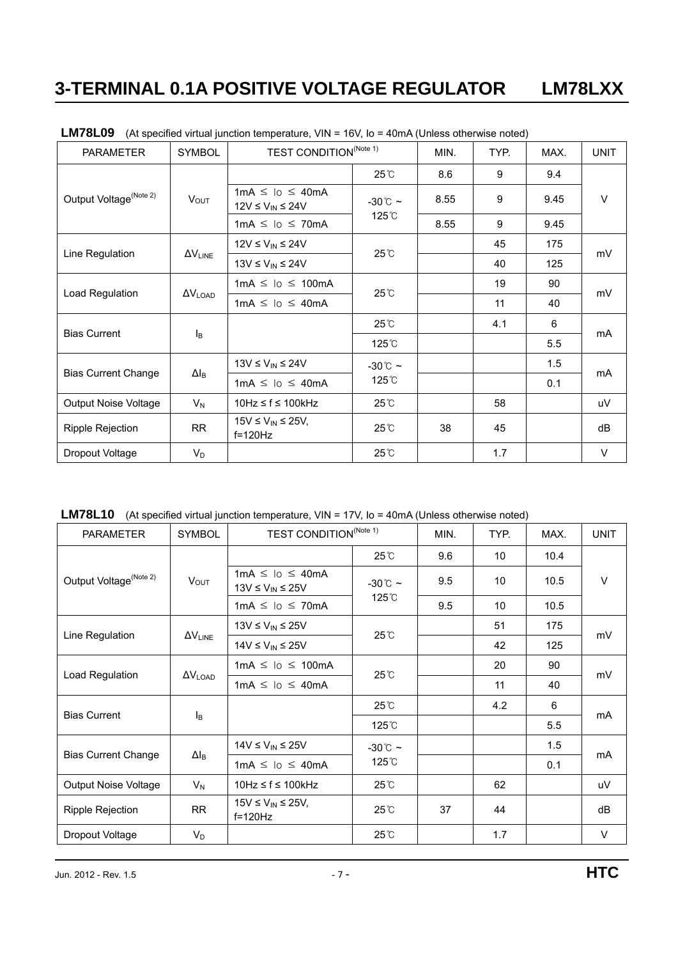| <b>PARAMETER</b>                   | <b>SYMBOL</b>         | TEST CONDITION <sup>(Note 1)</sup>                  |                 | MIN. | TYP. | MAX.                                                     | <b>UNIT</b> |
|------------------------------------|-----------------------|-----------------------------------------------------|-----------------|------|------|----------------------------------------------------------|-------------|
| Output Voltage <sup>(Note 2)</sup> |                       |                                                     | $25^\circ$ C    | 8.6  | 9    | 9.4                                                      | $\vee$      |
|                                    | $V_{OUT}$             | $1mA \leq lo \leq 40mA$<br>$12V \le V_{IN} \le 24V$ | $-30^{\circ}$ ~ | 8.55 | 9    | 9.45                                                     |             |
|                                    |                       | $1mA \leq lo \leq 70mA$                             | 125°C           | 8.55 | 9    | 9.45<br>175<br>125<br>90<br>40<br>6<br>5.5<br>1.5<br>0.1 |             |
|                                    |                       | $12V \le V_{IN} \le 24V$                            | 45<br>25°C      |      |      |                                                          |             |
| Line Regulation                    | $\Delta V_{LINE}$     | $13V \le V_{IN} \le 24V$                            |                 |      | 40   |                                                          | mV          |
|                                    |                       | $1mA \leq 10 \leq 100mA$                            | $25^{\circ}$ C  |      | 19   |                                                          | mV          |
| Load Regulation                    | $\Delta V_{LOAD}$     | $1mA \leq 10 \leq 40mA$                             |                 |      | 11   |                                                          |             |
|                                    |                       |                                                     | 25℃             |      | 4.1  |                                                          |             |
| <b>Bias Current</b>                | l <sub>B</sub>        |                                                     | 125°C           |      |      |                                                          | mA          |
|                                    |                       | 13V $\leq$ V <sub>IN</sub> $\leq$ 24V               | $-30^{\circ}$ ~ |      |      |                                                          |             |
| <b>Bias Current Change</b>         | $\Delta I_{\text{B}}$ | $1mA \leq 10 \leq 40mA$                             | 125°C           |      |      |                                                          | mA          |
| Output Noise Voltage               | $V_N$                 | 10Hz ≤ f ≤ 100kHz                                   | $25^{\circ}$ C  |      | 58   |                                                          | uV          |
| <b>Ripple Rejection</b>            | <b>RR</b>             | $15V \le V_{IN} \le 25V$ ,<br>$f=120Hz$             | $25^{\circ}$ C  | 38   | 45   |                                                          | dB          |
| Dropout Voltage                    | $V_D$                 |                                                     | $25^{\circ}$ C  |      | 1.7  |                                                          | $\vee$      |

LM78L09 (At specified virtual junction temperature, VIN = 16V, Io = 40mA (Unless otherwise noted)

LM78L10 (At specified virtual junction temperature, VIN = 17V, Io = 40mA (Unless otherwise noted)

| <b>PARAMETER</b>                   | <b>SYMBOL</b>            | <b>TEST CONDITION<sup>(Note 1)</sup></b>            |                    | MIN. | TYP. | MAX.                                                     | <b>UNIT</b> |
|------------------------------------|--------------------------|-----------------------------------------------------|--------------------|------|------|----------------------------------------------------------|-------------|
| Output Voltage <sup>(Note 2)</sup> |                          |                                                     | $25^{\circ}$ C     | 9.6  | 10   | 10.4                                                     |             |
|                                    | <b>VOUT</b>              | $1mA \leq 10 \leq 40mA$<br>$13V \le V_{IN} \le 25V$ | $-30^{\circ}$ C ~  | 9.5  | 10   | 10.5                                                     | $\vee$      |
|                                    |                          | $1mA \leq 10 \leq 70mA$                             | 125 <sup>°</sup> C | 9.5  | 10   | 10.5<br>175<br>125<br>90<br>40<br>6<br>5.5<br>1.5<br>0.1 |             |
|                                    |                          | $13V \le V_{IN} \le 25V$                            | $25^\circ$         |      | 51   |                                                          | mV          |
| Line Regulation                    | $\Delta V_{LINE}$        | $14V \leq V_{IN} \leq 25V$                          |                    |      | 42   |                                                          |             |
|                                    |                          | $1mA \leq 10 \leq 100mA$                            | $25^\circ$ C       |      | 20   |                                                          | mV          |
| Load Regulation                    | $\Delta V_{\text{LOAD}}$ | $1mA \leq 10 \leq 40mA$                             |                    |      | 11   |                                                          |             |
|                                    |                          |                                                     | $25^\circ$         |      | 4.2  |                                                          |             |
| <b>Bias Current</b>                | $I_B$                    |                                                     | 125 °C             |      |      |                                                          | mA          |
|                                    |                          | $14V \leq V_{IN} \leq 25V$                          | $-30^{\circ}$ C ~  |      |      |                                                          |             |
| <b>Bias Current Change</b>         | $\Delta I_{\text{B}}$    | $1mA \leq lo \leq 40mA$                             | 125 °C             |      |      |                                                          | mA          |
| Output Noise Voltage               | $V_N$                    | $10Hz \le f \le 100kHz$                             | 25℃                |      | 62   |                                                          | uV          |
| Ripple Rejection                   | <b>RR</b>                | $15V \le V_{IN} \le 25V$ ,<br>$f=120Hz$             | $25^\circ$         | 37   | 44   |                                                          | dB          |
| Dropout Voltage                    | $V_D$                    |                                                     | 25°C               |      | 1.7  |                                                          | $\vee$      |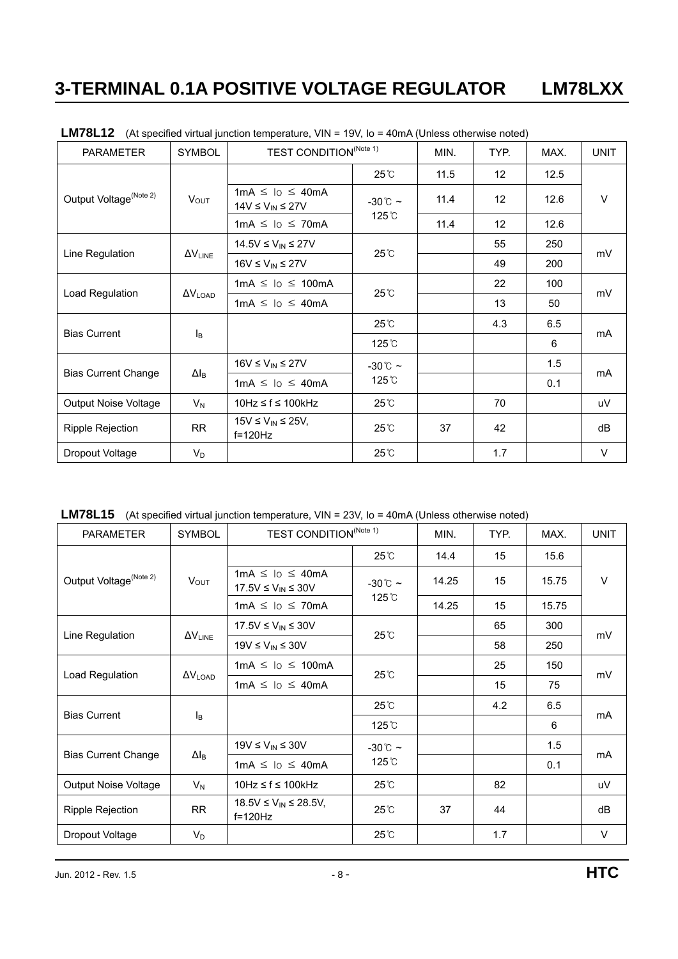| <b>PARAMETER</b>                   | <b>SYMBOL</b>            | TEST CONDITION <sup>(Note 1)</sup>                    |                    | MIN. | TYP.            | MAX.            | <b>UNIT</b> |
|------------------------------------|--------------------------|-------------------------------------------------------|--------------------|------|-----------------|-----------------|-------------|
| Output Voltage <sup>(Note 2)</sup> |                          |                                                       | $25^{\circ}$ C     | 11.5 | 12 <sup>°</sup> | 12.5            | V           |
|                                    | $V_{OUT}$                | $1mA \leq 10 \leq 40mA$<br>$14V \leq V_{IN} \leq 27V$ | $-30^{\circ}$ ~    | 11.4 | 12 <sup>°</sup> | 12.6            |             |
|                                    |                          | $1mA \leq lo \leq 70mA$                               | 125 <sup>°</sup> C | 11.4 | 12              | 12.6            |             |
|                                    |                          | $14.5V \leq V_{IN} \leq 27V$                          | $25^{\circ}$ C     |      | 55              | 250             |             |
| Line Regulation                    | <b>AVLINE</b>            | $16V \leq V_{IN} \leq 27V$                            |                    |      | 49              | 200             | mV          |
|                                    |                          | $1mA \leq 10 \leq 100mA$                              | $25^\circ$ C       |      | 22              | 100             | mV          |
| Load Regulation                    | $\Delta V_{\text{LOAD}}$ | $1mA \leq 10 \leq 40mA$                               |                    |      | 13              | 50              |             |
|                                    |                          |                                                       | $25^{\circ}$ C     |      | 4.3             | 6.5             |             |
| <b>Bias Current</b>                | Iв                       |                                                       | 125 <sup>°</sup> C |      |                 | 6<br>1.5<br>0.1 | mA          |
| <b>Bias Current Change</b>         |                          | $16V \leq V_{IN} \leq 27V$                            | $-30^{\circ}$ C ~  |      |                 |                 |             |
|                                    | $\Delta I_{\text{B}}$    | $1mA \leq lo \leq 40mA$                               | 125 <sup>°</sup> C |      |                 |                 | mA          |
| Output Noise Voltage               | $V_N$                    | $10Hz \le f \le 100kHz$                               | 25℃                |      | 70              |                 | uV          |
| <b>Ripple Rejection</b>            | <b>RR</b>                | $15V \le V_{IN} \le 25V$ ,<br>$f=120Hz$               | $25^\circ$ C       | 37   | 42              |                 | dB          |
| Dropout Voltage                    | $V_D$                    |                                                       | 25°C               |      | 1.7             |                 | V           |

**LM78L12** (At specified virtual junction temperature, VIN = 19V, Io = 40mA (Unless otherwise noted)

LM78L15 (At specified virtual junction temperature, VIN = 23V, Io = 40mA (Unless otherwise noted)

| <b>PARAMETER</b>                   | <b>SYMBOL</b>            | <b>TEST CONDITION<sup>(Note 1)</sup></b>                |                    | MIN.  | TYP. | MAX.  | <b>UNIT</b> |
|------------------------------------|--------------------------|---------------------------------------------------------|--------------------|-------|------|-------|-------------|
| Output Voltage <sup>(Note 2)</sup> |                          |                                                         | $25^{\circ}$ C     | 14.4  | 15   | 15.6  |             |
|                                    | <b>VOUT</b>              | $1mA \leq lo \leq 40mA$<br>$17.5V \leq V_{IN} \leq 30V$ | $-30^{\circ}$ C ~  | 14.25 | 15   | 15.75 | V           |
|                                    |                          | $1mA \leq 10 \leq 70mA$                                 | 125 <sup>°</sup> C | 14.25 | 15   | 15.75 |             |
|                                    |                          | $17.5V \le V_{IN} \le 30V$                              | 25°C               |       | 65   | 300   | mV          |
| Line Regulation                    | <b>AVLINE</b>            | $19V \leq V_{IN} \leq 30V$                              |                    |       | 58   | 250   |             |
|                                    |                          | $1mA \leq 10 \leq 100mA$                                | $25^\circ$ C       |       | 25   | 150   | mV          |
| Load Regulation                    | $\Delta V_{\text{LOAD}}$ | $1mA \leq 10 \leq 40mA$                                 |                    |       | 15   | 75    |             |
|                                    |                          |                                                         | $25^\circ$         |       | 4.2  | 6.5   |             |
| <b>Bias Current</b>                | $I_B$                    |                                                         | 125 <sup>°</sup> C |       |      | 6     | mA          |
|                                    |                          | $19V \leq V_{IN} \leq 30V$                              | $-30^{\circ}$ C ~  |       |      | 1.5   | mA          |
| <b>Bias Current Change</b>         | $\Delta I_B$             | $1mA \leq lo \leq 40mA$                                 | 125 <sup>°</sup> C |       |      | 0.1   |             |
| Output Noise Voltage               | $V_N$                    | $10Hz \le f \le 100kHz$                                 | $25^\circ$ C       |       | 82   |       | uV          |
| <b>Ripple Rejection</b>            | <b>RR</b>                | $18.5V \le V_{IN} \le 28.5V,$<br>$f=120Hz$              | $25^\circ$         | 37    | 44   |       | dB          |
| Dropout Voltage                    | $V_D$                    |                                                         | 25°C               |       | 1.7  |       | $\vee$      |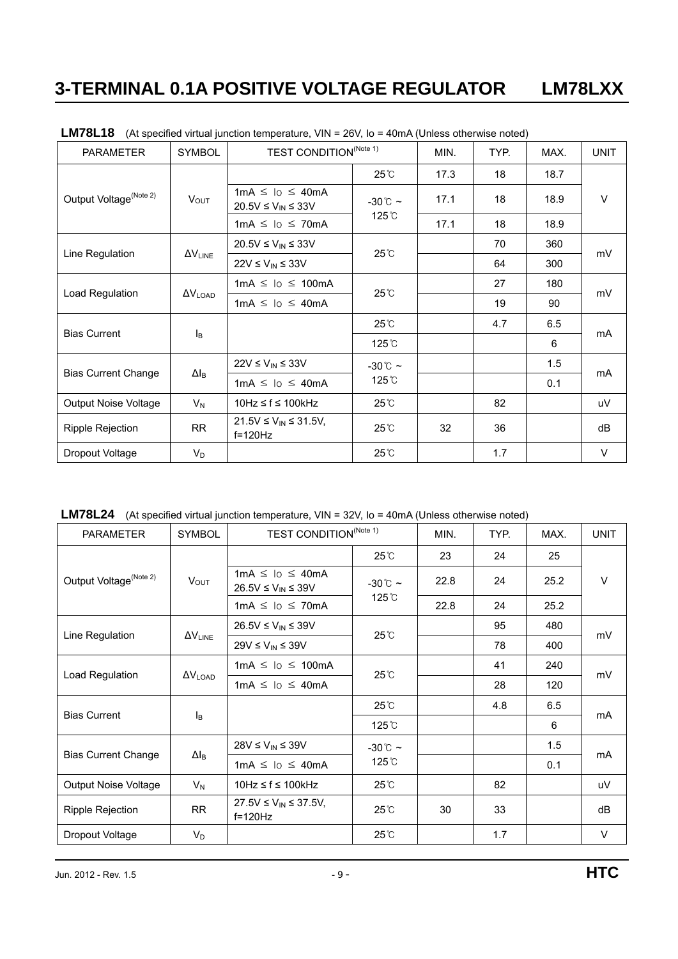| <b>PARAMETER</b>                   | <b>SYMBOL</b>         | <b>TEST CONDITION</b> <sup>(Note 1)</sup>                                             |                    | MIN. | TYP. | MAX.                                                      | <b>UNIT</b> |
|------------------------------------|-----------------------|---------------------------------------------------------------------------------------|--------------------|------|------|-----------------------------------------------------------|-------------|
| Output Voltage <sup>(Note 2)</sup> |                       |                                                                                       | $25^{\circ}$ C     | 17.3 | 18   | 18.7                                                      | $\vee$      |
|                                    | $V_{OUT}$             | $1mA \leq 10 \leq 40mA$<br>$20.5 \text{V} \leq \text{V}_{\text{IN}} \leq 33 \text{V}$ | $-30^{\circ}$ ~    | 17.1 | 18   | 18.9                                                      |             |
|                                    |                       | $1mA \leq 10 \leq 70mA$                                                               | 125°C              | 17.1 | 18   | 18.9<br>360<br>300<br>180<br>90<br>6.5<br>6<br>1.5<br>0.1 |             |
|                                    |                       | 20.5V ≤ $V_{IN}$ ≤ 33V                                                                | 70                 |      |      |                                                           |             |
| Line Regulation                    | $\Delta V_{LINE}$     | $22V \le V_{IN} \le 33V$                                                              | 25°C               |      | 64   |                                                           | mV          |
|                                    |                       | $1mA \leq 10 \leq 100mA$                                                              | $25^\circ$ C       |      | 27   |                                                           | mV          |
| Load Regulation                    | $\Delta V_{LOAD}$     | $1mA \leq 10 \leq 40mA$                                                               |                    |      | 19   |                                                           |             |
|                                    |                       |                                                                                       | $25^{\circ}$ C     |      | 4.7  |                                                           |             |
| <b>Bias Current</b>                | Iв                    |                                                                                       | 125 <sup>°</sup> C |      |      |                                                           | mA          |
|                                    |                       | $22V \le V_{IN} \le 33V$                                                              | $-30^{\circ}$ ~    |      |      |                                                           |             |
| <b>Bias Current Change</b>         | $\Delta I_{\text{B}}$ | $1mA \leq lo \leq 40mA$                                                               | 125°C              |      |      |                                                           | mA          |
| Output Noise Voltage               | $V_N$                 | $10Hz \le f \le 100kHz$                                                               | $25^\circ$ C       |      | 82   |                                                           | uV          |
| <b>Ripple Rejection</b>            | <b>RR</b>             | $21.5V \le V_{IN} \le 31.5V$ ,<br>$f=120Hz$                                           | $25^\circ$ C       | 32   | 36   |                                                           | dB          |
| Dropout Voltage                    | $V_D$                 |                                                                                       | 25°C               |      | 1.7  |                                                           | $\vee$      |

LM78L18 (At specified virtual junction temperature, VIN = 26V, Io = 40mA (Unless otherwise noted)

**LM78L24** (At specified virtual junction temperature, VIN = 32V, Io = 40mA (Unless otherwise noted)

| <b>PARAMETER</b>                   | <b>SYMBOL</b>            | TEST CONDITION <sup>(Note 1)</sup>                      |                             | MIN. | TYP. | MAX.            | <b>UNIT</b> |
|------------------------------------|--------------------------|---------------------------------------------------------|-----------------------------|------|------|-----------------|-------------|
| Output Voltage <sup>(Note 2)</sup> |                          |                                                         | $25^{\circ}$ C              | 23   | 24   | 25              | V           |
|                                    | <b>VOUT</b>              | $1mA \leq 10 \leq 40mA$<br>$26.5V \leq V_{IN} \leq 39V$ | $-30^{\circ}$ C ~           | 22.8 | 24   | 25.2            |             |
|                                    |                          | $1mA \leq lo \leq 70mA$                                 | 125 °C                      | 22.8 | 24   | 25.2            |             |
|                                    |                          | $26.5V \leq V_{IN} \leq 39V$                            | $25^{\circ}$ C              |      | 95   | 480             | mV          |
| Line Regulation                    | $\Delta V_{\text{LINE}}$ | $29V \le V_{IN} \le 39V$                                |                             |      | 78   | 400             |             |
|                                    | $\Delta V_{\text{LOAD}}$ | $1mA \leq 10 \leq 100mA$                                | $25^{\circ}$ C              |      | 41   | 240             | mV          |
| Load Regulation                    |                          | $1mA \leq lo \leq 40mA$                                 |                             |      | 28   | 120             |             |
|                                    |                          |                                                         | $25^{\circ}$ C              |      | 4.8  | 6.5             |             |
| <b>Bias Current</b>                | $I_{\mathsf{B}}$         |                                                         | 125°C                       |      |      | 6<br>1.5<br>0.1 | mA          |
|                                    |                          | 28V ≤ $V_{IN}$ ≤ 39V                                    | $-30^{\circ}$ C ~<br>125 °C |      |      |                 | mA          |
| <b>Bias Current Change</b>         | $\Delta I_{\text{B}}$    | $1mA \leq lo \leq 40mA$                                 |                             |      |      |                 |             |
| Output Noise Voltage               | $V_N$                    | 10Hz ≤ f ≤ 100kHz                                       | 25℃                         |      | 82   |                 | uV          |
| <b>Ripple Rejection</b>            | <b>RR</b>                | $27.5V \le V_{IN} \le 37.5V$ ,<br>$f=120Hz$             | $25^\circ$                  | 30   | 33   |                 | dB          |
| Dropout Voltage                    | $V_D$                    |                                                         | 25°C                        |      | 1.7  |                 | $\vee$      |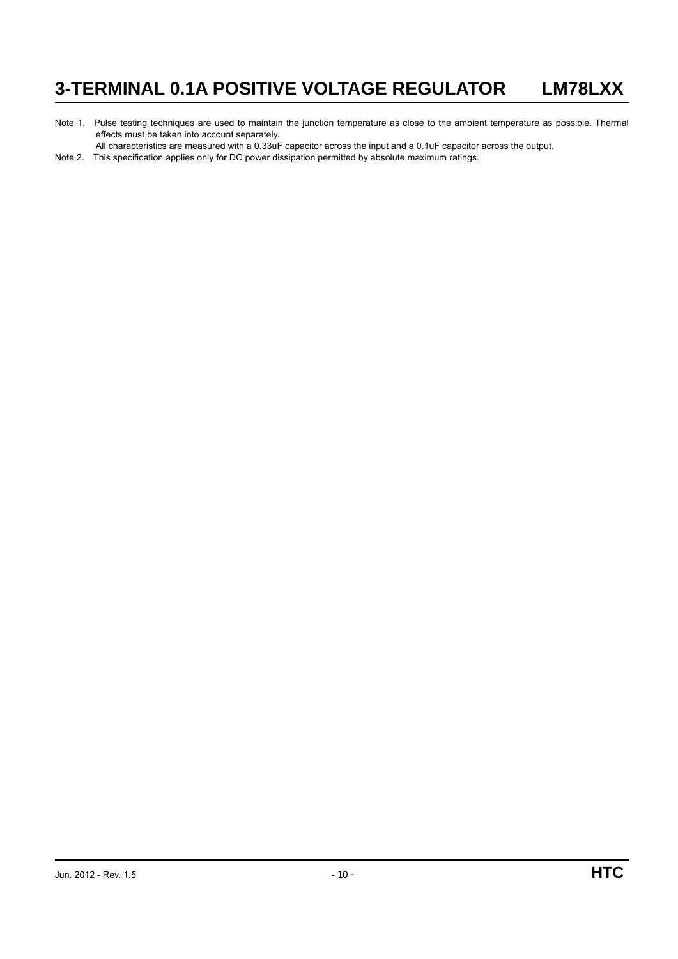Note 1. Pulse testing techniques are used to maintain the junction temperature as close to the ambient temperature as possible. Thermal effects must be taken into account separately.

All characteristics are measured with a 0.33uF capacitor across the input and a 0.1uF capacitor across the output.

Note 2. This specification applies only for DC power dissipation permitted by absolute maximum ratings.